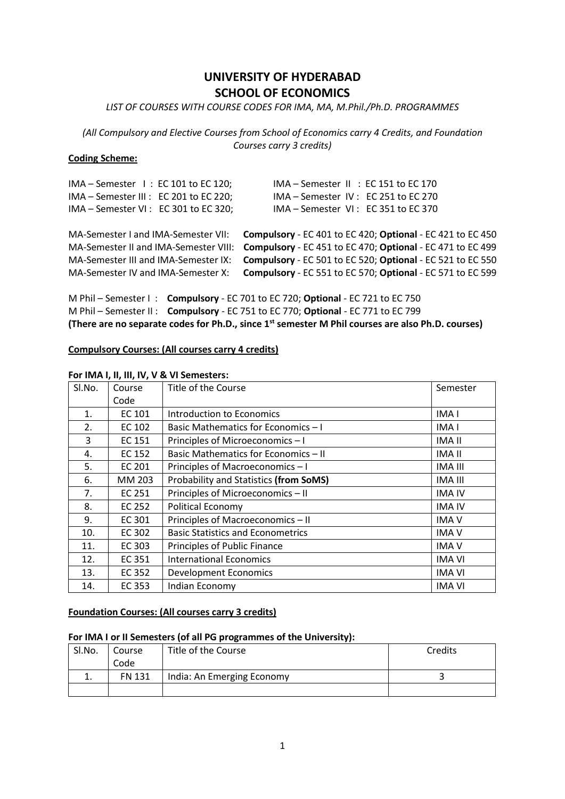# **UNIVERSITY OF HYDERABAD SCHOOL OF ECONOMICS**

### *LIST OF COURSES WITH COURSE CODES FOR IMA, MA, M.Phil./Ph.D. PROGRAMMES*

*(All Compulsory and Elective Courses from School of Economics carry 4 Credits, and Foundation Courses carry 3 credits)*

#### **Coding Scheme:**

| $IMA - Semester + : EC 101$ to EC 120;   | $IMA - Semester$ $II$ : EC 151 to EC 170 |  |
|------------------------------------------|------------------------------------------|--|
| $IMA - Semester III : EC 201 to EC 220:$ | $IMA - Semester IV: EC 251 to EC 270$    |  |
| $IMA - Semester VI: EC 301 to EC 320:$   | $IMA - Semester VI: EC 351 to EC 370$    |  |

MA-Semester I and IMA-Semester VII: **Compulsory** - EC 401 to EC 420; **Optional** - EC 421 to EC 450 MA-Semester II and IMA-Semester VIII: **Compulsory** - EC 451 to EC 470; **Optional** - EC 471 to EC 499 MA-Semester III and IMA-Semester IX: **Compulsory** - EC 501 to EC 520; **Optional** - EC 521 to EC 550 MA-Semester IV and IMA-Semester X: **Compulsory** - EC 551 to EC 570; **Optional** - EC 571 to EC 599

M Phil – Semester I : **Compulsory** - EC 701 to EC 720; **Optional** - EC 721 to EC 750 M Phil – Semester II : **Compulsory** - EC 751 to EC 770; **Optional** - EC 771 to EC 799 **(There are no separate codes for Ph.D., since 1st semester M Phil courses are also Ph.D. courses)**

#### **Compulsory Courses: (All courses carry 4 credits)**

| SI.No.        | Course | Title of the Course                      | Semester      |
|---------------|--------|------------------------------------------|---------------|
|               | Code   |                                          |               |
| $\mathbf 1$ . | EC 101 | Introduction to Economics                | IMA I         |
| 2.            | EC 102 | Basic Mathematics for Economics - I      | <b>IMAI</b>   |
| 3             | EC 151 | Principles of Microeconomics - I         | <b>IMA II</b> |
| 4.            | EC 152 | Basic Mathematics for Economics - II     | IMA II        |
| 5.            | EC 201 | Principles of Macroeconomics-I           | IMA III       |
| 6.            | MM 203 | Probability and Statistics (from SoMS)   | IMA III       |
| 7.            | EC 251 | Principles of Microeconomics - II        | <b>IMAIV</b>  |
| 8.            | EC 252 | <b>Political Economy</b>                 | <b>IMAIV</b>  |
| 9.            | EC 301 | Principles of Macroeconomics - II        | <b>IMAV</b>   |
| 10.           | EC 302 | <b>Basic Statistics and Econometrics</b> | <b>IMAV</b>   |
| 11.           | EC 303 | Principles of Public Finance             | <b>IMA V</b>  |
| 12.           | EC 351 | <b>International Economics</b>           | <b>IMA VI</b> |
| 13.           | EC 352 | <b>Development Economics</b>             | IMA VI        |
| 14.           | EC 353 | Indian Economy                           | <b>IMA VI</b> |

#### **For IMA I, II, III, IV, V & VI Semesters:**

### **Foundation Courses: (All courses carry 3 credits)**

#### **For IMA I or II Semesters (of all PG programmes of the University):**

| Sl.No. | Course        | Title of the Course        | Credits |
|--------|---------------|----------------------------|---------|
|        | Code          |                            |         |
| ٠.     | <b>FN 131</b> | India: An Emerging Economy |         |
|        |               |                            |         |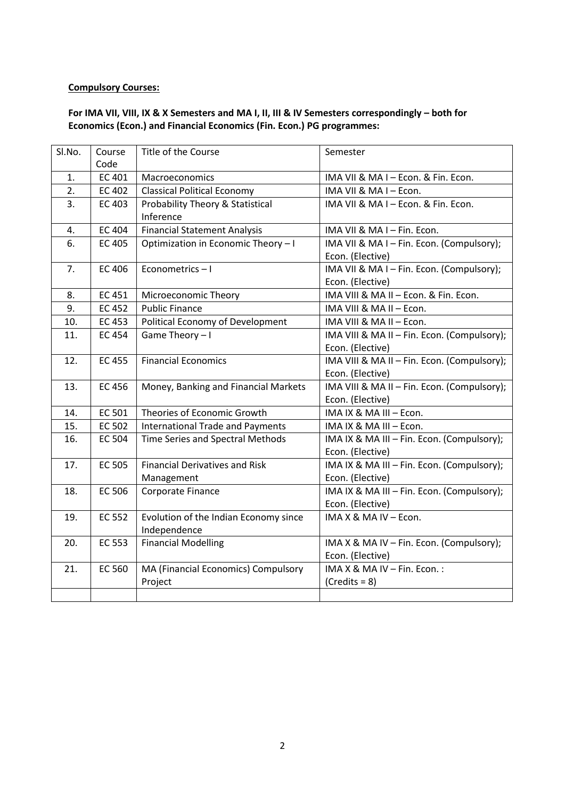## **Compulsory Courses:**

## **For IMA VII, VIII, IX & X Semesters and MA I, II, III & IV Semesters correspondingly – both for Economics (Econ.) and Financial Economics (Fin. Econ.) PG programmes:**

| SI.No. | Course | Title of the Course                     | Semester                                                      |  |
|--------|--------|-----------------------------------------|---------------------------------------------------------------|--|
|        | Code   |                                         |                                                               |  |
| 1.     | EC 401 | Macroeconomics                          | IMA VII & MA I - Econ. & Fin. Econ.                           |  |
| 2.     | EC 402 | <b>Classical Political Economy</b>      | IMA VII & MA I - Econ.                                        |  |
| 3.     | EC 403 | Probability Theory & Statistical        | IMA VII & MA I - Econ. & Fin. Econ.                           |  |
|        |        | Inference                               |                                                               |  |
| 4.     | EC 404 | <b>Financial Statement Analysis</b>     | IMA VII & MA I - Fin. Econ.                                   |  |
| 6.     | EC 405 | Optimization in Economic Theory - I     | IMA VII & MA I - Fin. Econ. (Compulsory);<br>Econ. (Elective) |  |
| 7.     | EC 406 | Econometrics-I                          | IMA VII & MA I - Fin. Econ. (Compulsory);                     |  |
|        |        |                                         | Econ. (Elective)                                              |  |
|        |        |                                         |                                                               |  |
| 8.     | EC 451 | Microeconomic Theory                    | IMA VIII & MA II - Econ. & Fin. Econ.                         |  |
| 9.     | EC 452 | <b>Public Finance</b>                   | IMA VIII & MA II - Econ.                                      |  |
| 10.    | EC 453 | Political Economy of Development        | IMA VIII & MA II - Econ.                                      |  |
| 11.    | EC 454 | Game Theory - I                         | IMA VIII & MA II - Fin. Econ. (Compulsory);                   |  |
|        |        |                                         | Econ. (Elective)                                              |  |
| 12.    | EC 455 | <b>Financial Economics</b>              | IMA VIII & MA II - Fin. Econ. (Compulsory);                   |  |
|        |        |                                         | Econ. (Elective)                                              |  |
| 13.    | EC 456 | Money, Banking and Financial Markets    | IMA VIII & MA II - Fin. Econ. (Compulsory);                   |  |
|        |        |                                         | Econ. (Elective)                                              |  |
| 14.    | EC 501 | Theories of Economic Growth             | IMA IX & MA III - Econ.                                       |  |
| 15.    | EC 502 | <b>International Trade and Payments</b> | IMA IX & MA III - Econ.                                       |  |
| 16.    | EC 504 | Time Series and Spectral Methods        | IMA IX & MA III - Fin. Econ. (Compulsory);                    |  |
|        |        |                                         | Econ. (Elective)                                              |  |
| 17.    | EC 505 | <b>Financial Derivatives and Risk</b>   | IMA IX & MA III - Fin. Econ. (Compulsory);                    |  |
|        |        | Management                              | Econ. (Elective)                                              |  |
| 18.    | EC 506 | Corporate Finance                       | IMA IX & MA III - Fin. Econ. (Compulsory);                    |  |
|        |        |                                         | Econ. (Elective)                                              |  |
| 19.    | EC 552 | Evolution of the Indian Economy since   | IMA X & MA IV - Econ.                                         |  |
|        |        | Independence                            |                                                               |  |
| 20.    | EC 553 | <b>Financial Modelling</b>              | IMA X & MA IV - Fin. Econ. (Compulsory);                      |  |
|        |        |                                         | Econ. (Elective)                                              |  |
| 21.    | EC 560 | MA (Financial Economics) Compulsory     | IMA X & MA IV - Fin. Econ.:                                   |  |
|        |        | Project                                 | $(Credits = 8)$                                               |  |
|        |        |                                         |                                                               |  |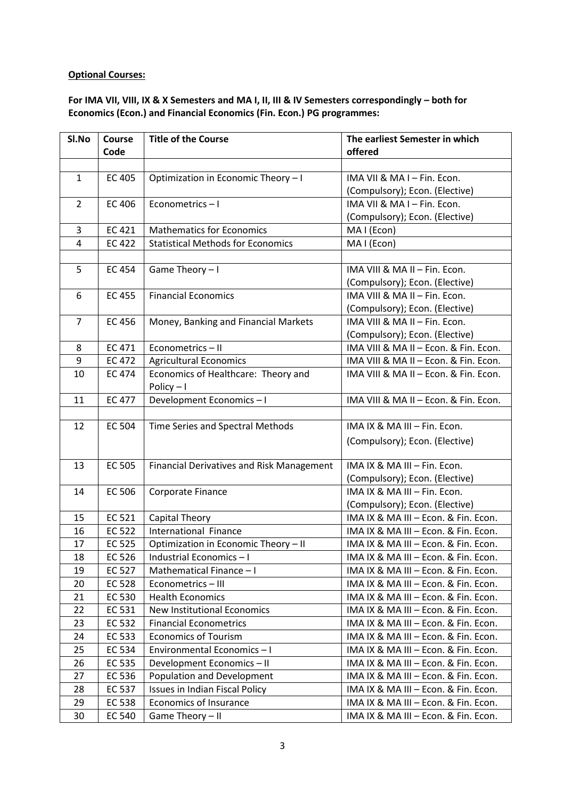### **Optional Courses:**

## **For IMA VII, VIII, IX & X Semesters and MA I, II, III & IV Semesters correspondingly – both for Economics (Econ.) and Financial Economics (Fin. Econ.) PG programmes:**

| SI.No          | Course        | <b>Title of the Course</b>                       | The earliest Semester in which        |  |
|----------------|---------------|--------------------------------------------------|---------------------------------------|--|
|                | Code          |                                                  | offered                               |  |
|                |               |                                                  |                                       |  |
| $\mathbf{1}$   | EC 405        | Optimization in Economic Theory-I                | IMA VII & MA I - Fin. Econ.           |  |
|                |               |                                                  | (Compulsory); Econ. (Elective)        |  |
| $\overline{2}$ | EC 406        | Econometrics-I                                   | IMA VII & MA I - Fin. Econ.           |  |
|                |               |                                                  | (Compulsory); Econ. (Elective)        |  |
| 3              | EC 421        | <b>Mathematics for Economics</b>                 | MAI (Econ)                            |  |
| $\overline{4}$ | <b>EC 422</b> | <b>Statistical Methods for Economics</b>         | MAI (Econ)                            |  |
|                |               |                                                  |                                       |  |
| 5              | EC 454        | Game Theory $-1$                                 | IMA VIII & MA II - Fin. Econ.         |  |
|                |               |                                                  | (Compulsory); Econ. (Elective)        |  |
| 6              | EC 455        | <b>Financial Economics</b>                       | IMA VIII & MA II - Fin. Econ.         |  |
|                |               |                                                  | (Compulsory); Econ. (Elective)        |  |
| $\overline{7}$ | EC 456        | Money, Banking and Financial Markets             | IMA VIII & MA II - Fin. Econ.         |  |
|                |               |                                                  | (Compulsory); Econ. (Elective)        |  |
| 8              | EC 471        | Econometrics-II                                  | IMA VIII & MA II - Econ. & Fin. Econ. |  |
| 9              | EC 472        | <b>Agricultural Economics</b>                    | IMA VIII & MA II - Econ. & Fin. Econ. |  |
| 10             | EC 474        | Economics of Healthcare: Theory and              | IMA VIII & MA II - Econ. & Fin. Econ. |  |
|                |               | Policy $-1$                                      |                                       |  |
| 11             | EC 477        | Development Economics-I                          | IMA VIII & MA II - Econ. & Fin. Econ. |  |
|                |               |                                                  |                                       |  |
| 12             | EC 504        | Time Series and Spectral Methods                 | IMA IX & MA III - Fin. Econ.          |  |
|                |               |                                                  | (Compulsory); Econ. (Elective)        |  |
|                |               |                                                  |                                       |  |
| 13             | EC 505        | <b>Financial Derivatives and Risk Management</b> | IMA IX & MA III - Fin. Econ.          |  |
|                |               |                                                  | (Compulsory); Econ. (Elective)        |  |
| 14             | EC 506        | Corporate Finance                                | IMA IX & MA III - Fin. Econ.          |  |
|                |               |                                                  | (Compulsory); Econ. (Elective)        |  |
| 15             | EC 521        | Capital Theory                                   | IMA IX & MA III - Econ. & Fin. Econ.  |  |
| 16             | EC 522        | International Finance                            | IMA IX & MA III - Econ. & Fin. Econ.  |  |
| 17             | EC 525        | Optimization in Economic Theory - II             | IMA IX & MA III - Econ. & Fin. Econ.  |  |
| 18             | EC 526        | Industrial Economics-I                           | IMA IX & MA III - Econ. & Fin. Econ.  |  |
| 19             | EC 527        | Mathematical Finance - I                         | IMA IX & MA III - Econ. & Fin. Econ.  |  |
| 20             | EC 528        | Econometrics - III                               | IMA IX & MA III - Econ. & Fin. Econ.  |  |
| 21             | EC 530        | <b>Health Economics</b>                          | IMA IX & MA III - Econ. & Fin. Econ.  |  |
| 22             | EC 531        | <b>New Institutional Economics</b>               | IMA IX & MA III - Econ. & Fin. Econ.  |  |
| 23             | EC 532        | <b>Financial Econometrics</b>                    | IMA IX & MA III - Econ. & Fin. Econ.  |  |
| 24             | EC 533        | <b>Economics of Tourism</b>                      | IMA IX & MA III - Econ. & Fin. Econ.  |  |
| 25             | EC 534        | Environmental Economics-I                        | IMA IX & MA III - Econ. & Fin. Econ.  |  |
| 26             | EC 535        | Development Economics - II                       | IMA IX & MA III - Econ. & Fin. Econ.  |  |
| 27             | EC 536        | Population and Development                       | IMA IX & MA III - Econ. & Fin. Econ.  |  |
| 28             | EC 537        | Issues in Indian Fiscal Policy                   | IMA IX & MA III - Econ. & Fin. Econ.  |  |
| 29             | EC 538        | Economics of Insurance                           | IMA IX & MA III - Econ. & Fin. Econ.  |  |
| 30             | EC 540        | Game Theory - II                                 | IMA IX & MA III - Econ. & Fin. Econ.  |  |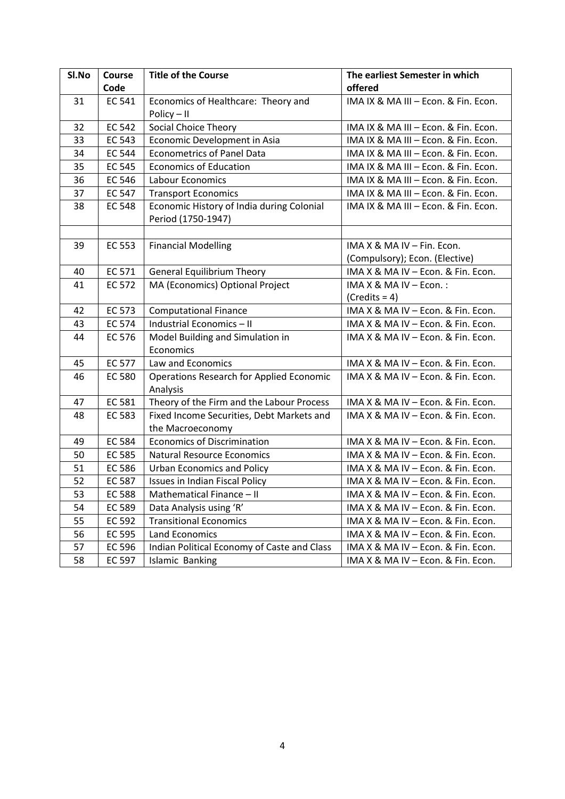| Sl.No | Course        | <b>Title of the Course</b>                      | The earliest Semester in which       |  |
|-------|---------------|-------------------------------------------------|--------------------------------------|--|
|       | Code          |                                                 | offered                              |  |
| 31    | EC 541        | Economics of Healthcare: Theory and             | IMA IX & MA III - Econ. & Fin. Econ. |  |
|       |               | Policy - II                                     |                                      |  |
| 32    | EC 542        | Social Choice Theory                            | IMA IX & MA III - Econ. & Fin. Econ. |  |
| 33    | EC 543        | Economic Development in Asia                    | IMA IX & MA III - Econ. & Fin. Econ. |  |
| 34    | EC 544        | <b>Econometrics of Panel Data</b>               | IMA IX & MA III - Econ. & Fin. Econ. |  |
| 35    | EC 545        | <b>Economics of Education</b>                   | IMA IX & MA III - Econ. & Fin. Econ. |  |
| 36    | EC 546        | Labour Economics                                | IMA IX & MA III - Econ. & Fin. Econ. |  |
| 37    | EC 547        | <b>Transport Economics</b>                      | IMA IX & MA III - Econ. & Fin. Econ. |  |
| 38    | EC 548        | Economic History of India during Colonial       | IMA IX & MA III - Econ. & Fin. Econ. |  |
|       |               | Period (1750-1947)                              |                                      |  |
|       |               |                                                 |                                      |  |
| 39    | EC 553        | <b>Financial Modelling</b>                      | IMA X & MA IV - Fin. Econ.           |  |
|       |               |                                                 | (Compulsory); Econ. (Elective)       |  |
| 40    | EC 571        | <b>General Equilibrium Theory</b>               | IMA X & MA IV - Econ. & Fin. Econ.   |  |
| 41    | EC 572        | MA (Economics) Optional Project                 | IMA X & MA IV - Econ.:               |  |
|       |               |                                                 | $(Credits = 4)$                      |  |
| 42    | EC 573        | <b>Computational Finance</b>                    | IMA X & MA IV - Econ. & Fin. Econ.   |  |
| 43    | EC 574        | Industrial Economics - II                       | IMA X & MA IV - Econ. & Fin. Econ.   |  |
| 44    | EC 576        | Model Building and Simulation in                | IMA X & MA IV - Econ. & Fin. Econ.   |  |
|       |               | Economics                                       |                                      |  |
| 45    | <b>EC 577</b> | Law and Economics                               | IMA X & MA IV - Econ. & Fin. Econ.   |  |
| 46    | <b>EC 580</b> | <b>Operations Research for Applied Economic</b> | IMA X & MA IV - Econ. & Fin. Econ.   |  |
|       |               | Analysis                                        |                                      |  |
| 47    | EC 581        | Theory of the Firm and the Labour Process       | IMA X & MA IV - Econ. & Fin. Econ.   |  |
| 48    | EC 583        | Fixed Income Securities, Debt Markets and       | IMA X & MA IV - Econ. & Fin. Econ.   |  |
|       |               | the Macroeconomy                                |                                      |  |
| 49    | EC 584        | <b>Economics of Discrimination</b>              | IMA X & MA IV - Econ. & Fin. Econ.   |  |
| 50    | EC 585        | <b>Natural Resource Economics</b>               | IMA X & MA IV - Econ. & Fin. Econ.   |  |
| 51    | EC 586        | <b>Urban Economics and Policy</b>               | IMA X & MA IV - Econ. & Fin. Econ.   |  |
| 52    | EC 587        | Issues in Indian Fiscal Policy                  | IMA X & MA IV - Econ. & Fin. Econ.   |  |
| 53    | EC 588        | Mathematical Finance - II                       | IMA X & MA IV - Econ. & Fin. Econ.   |  |
| 54    | EC 589        | Data Analysis using 'R'                         | IMA X & MA IV - Econ. & Fin. Econ.   |  |
| 55    | EC 592        | <b>Transitional Economics</b>                   | IMA X & MA IV - Econ. & Fin. Econ.   |  |
| 56    | EC 595        | <b>Land Economics</b>                           | IMA X & MA IV - Econ. & Fin. Econ.   |  |
| 57    | EC 596        | Indian Political Economy of Caste and Class     | IMA X & MA IV - Econ. & Fin. Econ.   |  |
| 58    | EC 597        | <b>Islamic Banking</b>                          | IMA X & MA IV - Econ. & Fin. Econ.   |  |